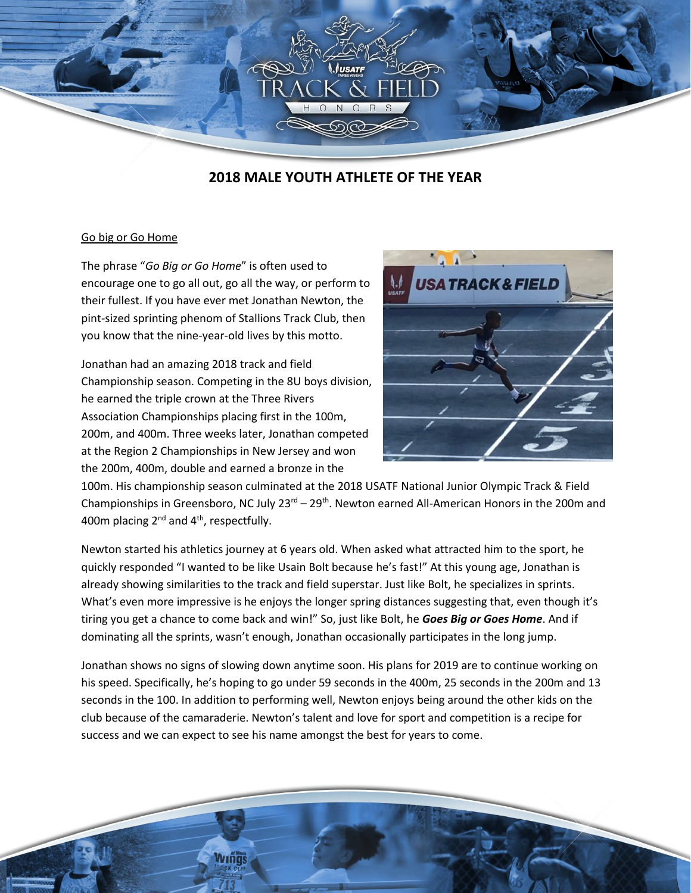

## **2018 MALE YOUTH ATHLETE OF THE YEAR**

## Go big or Go Home

The phrase "*Go Big or Go Home*" is often used to encourage one to go all out, go all the way, or perform to their fullest. If you have ever met Jonathan Newton, the pint-sized sprinting phenom of Stallions Track Club, then you know that the nine-year-old lives by this motto.

Jonathan had an amazing 2018 track and field Championship season. Competing in the 8U boys division, he earned the triple crown at the Three Rivers Association Championships placing first in the 100m, 200m, and 400m. Three weeks later, Jonathan competed at the Region 2 Championships in New Jersey and won the 200m, 400m, double and earned a bronze in the

**Armas** 



100m. His championship season culminated at the 2018 USATF National Junior Olympic Track & Field Championships in Greensboro, NC July  $23<sup>rd</sup> - 29<sup>th</sup>$ . Newton earned All-American Honors in the 200m and 400m placing 2nd and 4th, respectfully.

Newton started his athletics journey at 6 years old. When asked what attracted him to the sport, he quickly responded "I wanted to be like Usain Bolt because he's fast!" At this young age, Jonathan is already showing similarities to the track and field superstar. Just like Bolt, he specializes in sprints. What's even more impressive is he enjoys the longer spring distances suggesting that, even though it's tiring you get a chance to come back and win!" So, just like Bolt, he *Goes Big or Goes Home*. And if dominating all the sprints, wasn't enough, Jonathan occasionally participates in the long jump.

Jonathan shows no signs of slowing down anytime soon. His plans for 2019 are to continue working on his speed. Specifically, he's hoping to go under 59 seconds in the 400m, 25 seconds in the 200m and 13 seconds in the 100. In addition to performing well, Newton enjoys being around the other kids on the club because of the camaraderie. Newton's talent and love for sport and competition is a recipe for success and we can expect to see his name amongst the best for years to come.